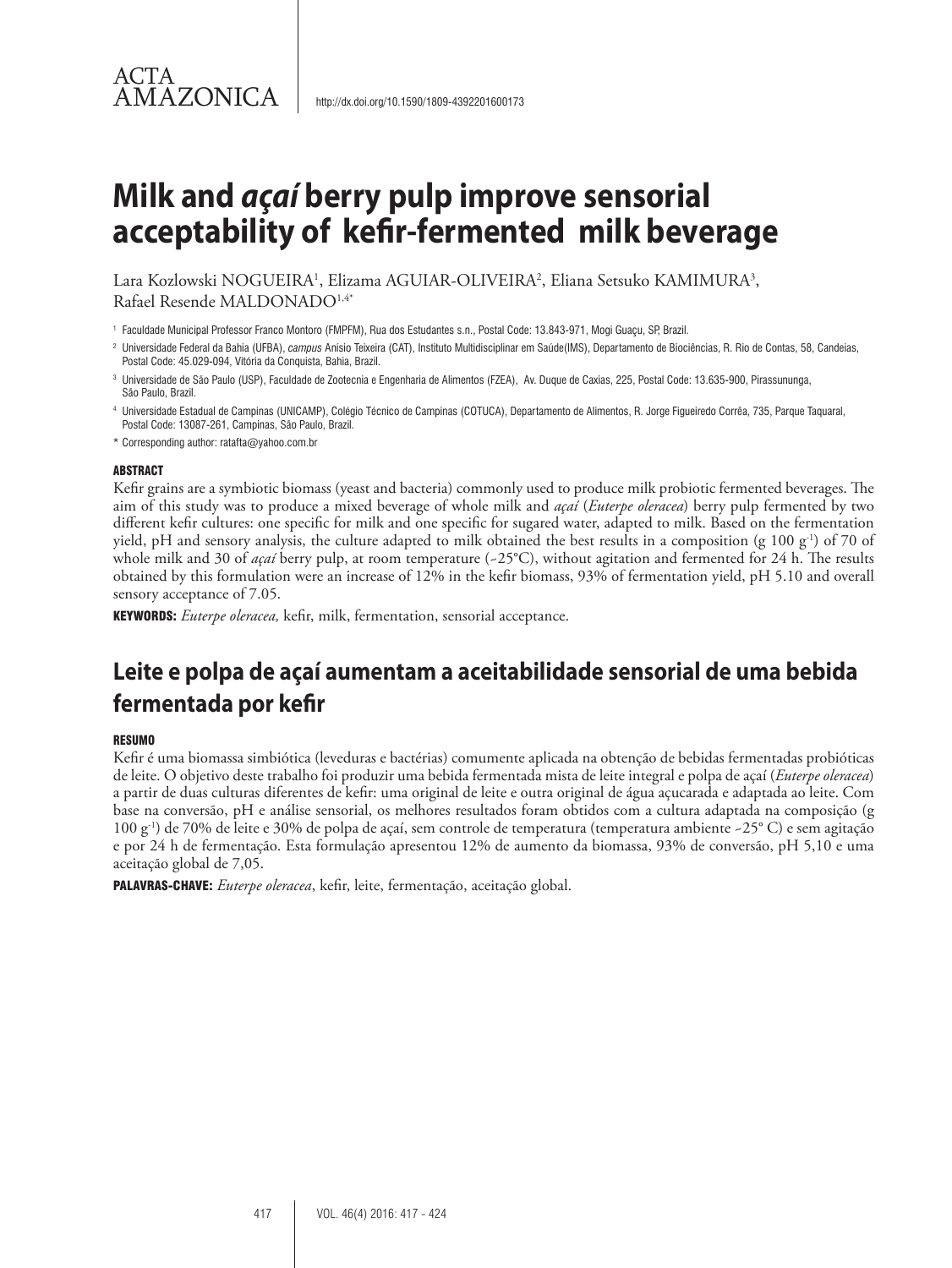# **Milk and** *açaí* **berry pulp improve sensorial acceptability of kefir-fermented milk beverage**

Lara Kozlowski NOGUEIRA<sup>1</sup>, Elizama AGUIAR-OLIVEIRA<sup>2</sup>, Eliana Setsuko KAMIMURA<sup>3</sup>, Rafael Resende MALDONADO1,4\*

<sup>1</sup> Faculdade Municipal Professor Franco Montoro (FMPFM), Rua dos Estudantes s.n., Postal Code: 13.843-971, Mogi Guaçu, SP, Brazil.

2 Universidade Federal da Bahia (UFBA), *campus* Anísio Teixeira (CAT), Instituto Multidisciplinar em Saúde(IMS), Departamento de Biociências, R. Rio de Contas, 58, Candeias, Postal Code: 45.029-094, Vitória da Conquista, Bahia, Brazil.

3 Universidade de São Paulo (USP), Faculdade de Zootecnia e Engenharia de Alimentos (FZEA), Av. Duque de Caxias, 225, Postal Code: 13.635-900, Pirassununga, São Paulo, Brazil.

4 Universidade Estadual de Campinas (UNICAMP), Colégio Técnico de Campinas (COTUCA), Departamento de Alimentos, R. Jorge Figueiredo Corrêa, 735, Parque Taquaral, Postal Code: 13087-261, Campinas, São Paulo, Brazil.

\* Corresponding author: ratafta@yahoo.com.br

#### ABSTRACT

ACTA

AMAZONICA

Kefir grains are a symbiotic biomass (yeast and bacteria) commonly used to produce milk probiotic fermented beverages. The aim of this study was to produce a mixed beverage of whole milk and *açaí* (*Euterpe oleracea*) berry pulp fermented by two different kefir cultures: one specific for milk and one specific for sugared water, adapted to milk. Based on the fermentation yield, pH and sensory analysis, the culture adapted to milk obtained the best results in a composition (g 100 g<sup>-1</sup>) of 70 of whole milk and 30 of *açaí* berry pulp, at room temperature (~25°C), without agitation and fermented for 24 h. The results obtained by this formulation were an increase of 12% in the kefir biomass, 93% of fermentation yield, pH 5.10 and overall sensory acceptance of 7.05.

KEYWORDS: *Euterpe oleracea,* kefir, milk, fermentation, sensorial acceptance.

## **Leite e polpa de açaí aumentam a aceitabilidade sensorial de uma bebida fermentada por kefir**

#### **RESUMO**

Kefir é uma biomassa simbiótica (leveduras e bactérias) comumente aplicada na obtenção de bebidas fermentadas probióticas de leite. O objetivo deste trabalho foi produzir uma bebida fermentada mista de leite integral e polpa de açaí (*Euterpe oleracea*) a partir de duas culturas diferentes de kefir: uma original de leite e outra original de água açucarada e adaptada ao leite. Com base na conversão, pH e análise sensorial, os melhores resultados foram obtidos com a cultura adaptada na composição (g 100 g-1) de 70% de leite e 30% de polpa de açaí, sem controle de temperatura (temperatura ambiente ~25° C) e sem agitação e por 24 h de fermentação. Esta formulação apresentou 12% de aumento da biomassa, 93% de conversão, pH 5,10 e uma aceitação global de 7,05.

PALAVRAS-CHAVE: *Euterpe oleracea*, kefir, leite, fermentação, aceitação global.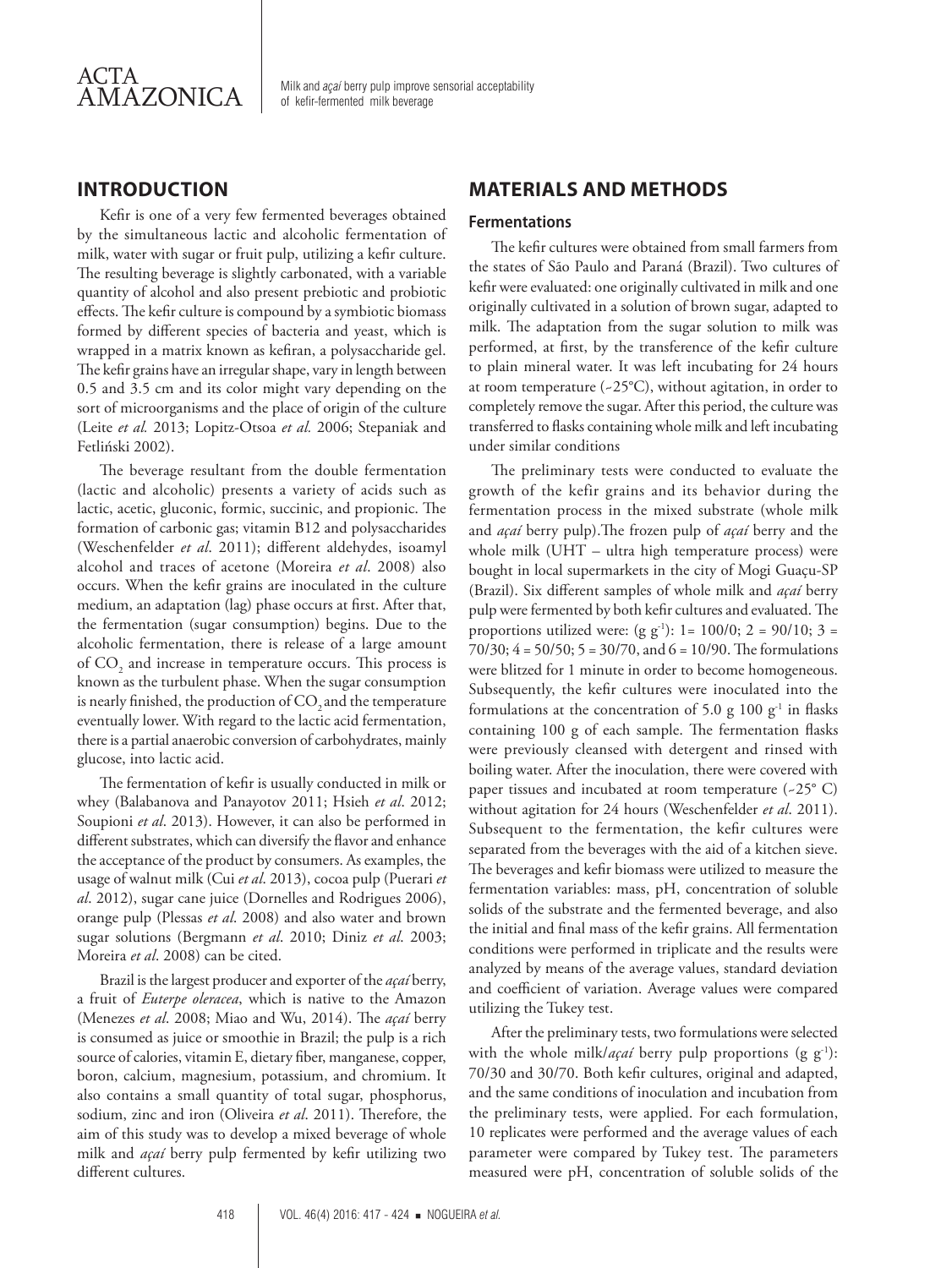

Milk and *açaí* berry pulp improve sensorial acceptability of kefir-fermented milk beverage

## **INTRODUCTION**

Kefir is one of a very few fermented beverages obtained by the simultaneous lactic and alcoholic fermentation of milk, water with sugar or fruit pulp, utilizing a kefir culture. The resulting beverage is slightly carbonated, with a variable quantity of alcohol and also present prebiotic and probiotic effects. The kefir culture is compound by a symbiotic biomass formed by different species of bacteria and yeast, which is wrapped in a matrix known as kefiran, a polysaccharide gel. The kefir grains have an irregular shape, vary in length between 0.5 and 3.5 cm and its color might vary depending on the sort of microorganisms and the place of origin of the culture (Leite *et al.* 2013; Lopitz-Otsoa *et al.* 2006; Stepaniak and Fetliński 2002).

The beverage resultant from the double fermentation (lactic and alcoholic) presents a variety of acids such as lactic, acetic, gluconic, formic, succinic, and propionic. The formation of carbonic gas; vitamin B12 and polysaccharides (Weschenfelder *et al*. 2011); different aldehydes, isoamyl alcohol and traces of acetone (Moreira *et al*. 2008) also occurs. When the kefir grains are inoculated in the culture medium, an adaptation (lag) phase occurs at first. After that, the fermentation (sugar consumption) begins. Due to the alcoholic fermentation, there is release of a large amount of  $\mathrm{CO}_2$  and increase in temperature occurs. This process is known as the turbulent phase. When the sugar consumption is nearly finished, the production of  $CO$ , and the temperature eventually lower. With regard to the lactic acid fermentation, there is a partial anaerobic conversion of carbohydrates, mainly glucose, into lactic acid.

The fermentation of kefir is usually conducted in milk or whey (Balabanova and Panayotov 2011; Hsieh *et al*. 2012; Soupioni *et al*. 2013). However, it can also be performed in different substrates, which can diversify the flavor and enhance the acceptance of the product by consumers. As examples, the usage of walnut milk (Cui *et al*. 2013), cocoa pulp (Puerari *et al*. 2012), sugar cane juice (Dornelles and Rodrigues 2006), orange pulp (Plessas *et al*. 2008) and also water and brown sugar solutions (Bergmann *et al*. 2010; Diniz *et al*. 2003; Moreira *et al*. 2008) can be cited.

Brazil is the largest producer and exporter of the *açaí* berry, a fruit of *Euterpe oleracea*, which is native to the Amazon (Menezes *et al*. 2008; Miao and Wu, 2014). The *açaí* berry is consumed as juice or smoothie in Brazil; the pulp is a rich source of calories, vitamin E, dietary fiber, manganese, copper, boron, calcium, magnesium, potassium, and chromium. It also contains a small quantity of total sugar, phosphorus, sodium, zinc and iron (Oliveira *et al*. 2011). Therefore, the aim of this study was to develop a mixed beverage of whole milk and *açaí* berry pulp fermented by kefir utilizing two different cultures.

## **MATERIALS AND METHODS**

#### **Fermentations**

The kefir cultures were obtained from small farmers from the states of São Paulo and Paraná (Brazil). Two cultures of kefir were evaluated: one originally cultivated in milk and one originally cultivated in a solution of brown sugar, adapted to milk. The adaptation from the sugar solution to milk was performed, at first, by the transference of the kefir culture to plain mineral water. It was left incubating for 24 hours at room temperature (~25°C), without agitation, in order to completely remove the sugar. After this period, the culture was transferred to flasks containing whole milk and left incubating under similar conditions

The preliminary tests were conducted to evaluate the growth of the kefir grains and its behavior during the fermentation process in the mixed substrate (whole milk and *açaí* berry pulp).The frozen pulp of *açaí* berry and the whole milk (UHT – ultra high temperature process) were bought in local supermarkets in the city of Mogi Guaçu-SP (Brazil). Six different samples of whole milk and *açaí* berry pulp were fermented by both kefir cultures and evaluated. The proportions utilized were:  $(g g^{-1})$ : 1= 100/0; 2 = 90/10; 3 = 70/30; 4 = 50/50; 5 = 30/70, and 6 = 10/90. The formulations were blitzed for 1 minute in order to become homogeneous. Subsequently, the kefir cultures were inoculated into the formulations at the concentration of 5.0 g 100  $g^{-1}$  in flasks containing 100 g of each sample. The fermentation flasks were previously cleansed with detergent and rinsed with boiling water. After the inoculation, there were covered with paper tissues and incubated at room temperature (~25° C) without agitation for 24 hours (Weschenfelder *et al*. 2011). Subsequent to the fermentation, the kefir cultures were separated from the beverages with the aid of a kitchen sieve. The beverages and kefir biomass were utilized to measure the fermentation variables: mass, pH, concentration of soluble solids of the substrate and the fermented beverage, and also the initial and final mass of the kefir grains. All fermentation conditions were performed in triplicate and the results were analyzed by means of the average values, standard deviation and coefficient of variation. Average values were compared utilizing the Tukey test.

After the preliminary tests, two formulations were selected with the whole milk/*açaí* berry pulp proportions (g g<sup>-1</sup>): 70/30 and 30/70. Both kefir cultures, original and adapted, and the same conditions of inoculation and incubation from the preliminary tests, were applied. For each formulation, 10 replicates were performed and the average values of each parameter were compared by Tukey test. The parameters measured were pH, concentration of soluble solids of the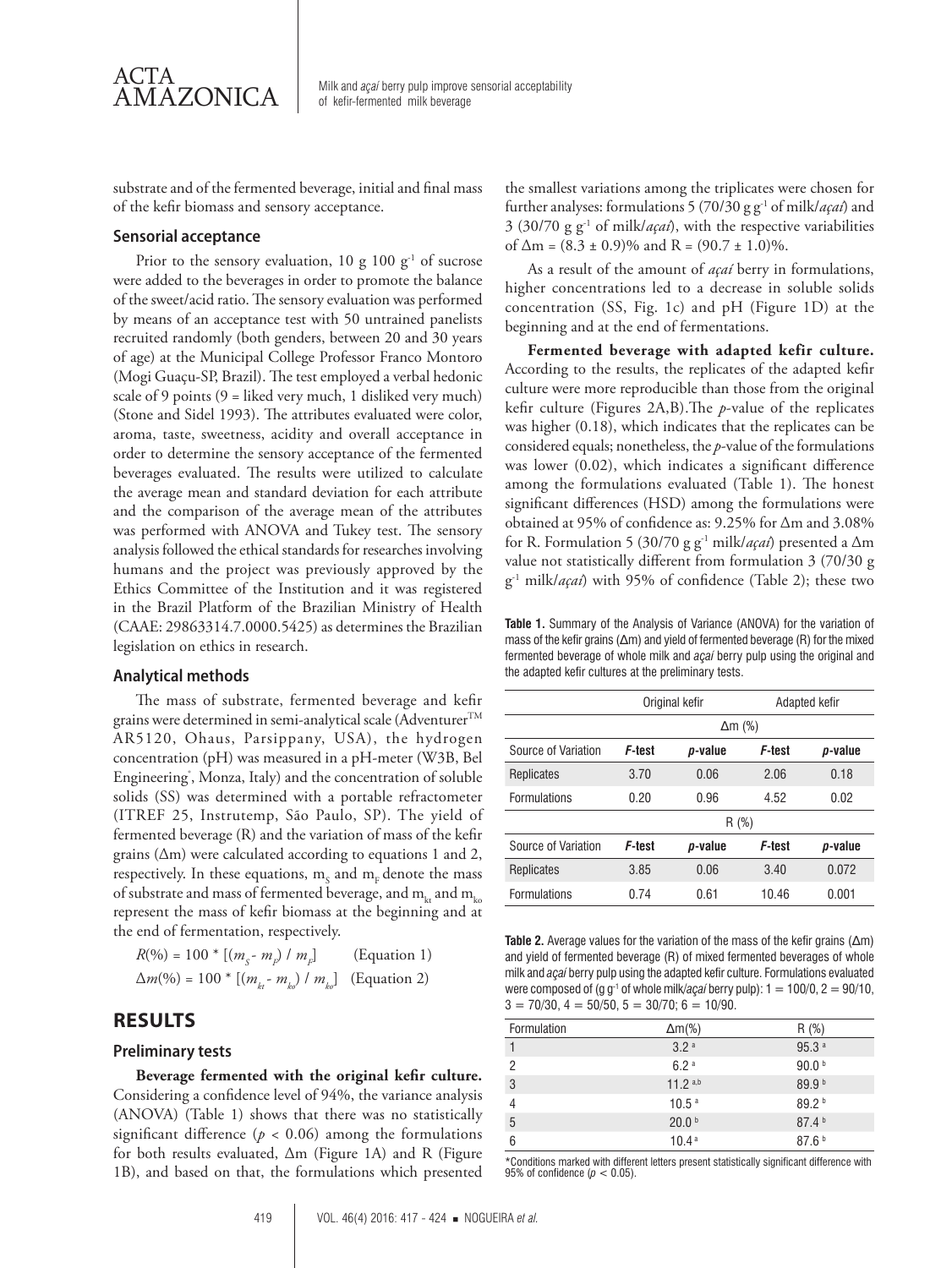

AMAZONICA Milk and *açaí* berry pulp improve sensorial acceptability of kefir-fermented milk beverage

substrate and of the fermented beverage, initial and final mass of the kefir biomass and sensory acceptance.

#### **Sensorial acceptance**

Prior to the sensory evaluation, 10 g 100  $g^{-1}$  of sucrose were added to the beverages in order to promote the balance of the sweet/acid ratio. The sensory evaluation was performed by means of an acceptance test with 50 untrained panelists recruited randomly (both genders, between 20 and 30 years of age) at the Municipal College Professor Franco Montoro (Mogi Guaçu-SP, Brazil). The test employed a verbal hedonic scale of 9 points (9 = liked very much, 1 disliked very much) (Stone and Sidel 1993). The attributes evaluated were color, aroma, taste, sweetness, acidity and overall acceptance in order to determine the sensory acceptance of the fermented beverages evaluated. The results were utilized to calculate the average mean and standard deviation for each attribute and the comparison of the average mean of the attributes was performed with ANOVA and Tukey test. The sensory analysis followed the ethical standards for researches involving humans and the project was previously approved by the Ethics Committee of the Institution and it was registered in the Brazil Platform of the Brazilian Ministry of Health (CAAE: 29863314.7.0000.5425) as determines the Brazilian legislation on ethics in research.

#### **Analytical methods**

The mass of substrate, fermented beverage and kefir grains were determined in semi-analytical scale (Adventurer<sup>TM</sup> AR5120, Ohaus, Parsippany, USA), the hydrogen concentration (pH) was measured in a pH-meter (W3B, Bel Engineering<sup>\*</sup>, Monza, Italy) and the concentration of soluble solids (SS) was determined with a portable refractometer (ITREF 25, Instrutemp, São Paulo, SP). The yield of fermented beverage (R) and the variation of mass of the kefir grains (Δm) were calculated according to equations 1 and 2, respectively. In these equations,  $m_{\rm s}$  and  $m_{\rm F}$  denote the mass of substrate and mass of fermented beverage, and  $m_{kx}$  and  $m_{ky}$ represent the mass of kefir biomass at the beginning and at the end of fermentation, respectively.

 $R(\%) = 100 * [(m_s - m_p) / m_p]$ (Equation 1)  $\Delta m(\%) = 100 * [(m_{h^-} - m_{h}) / m_{h^-}]$  (Equation 2)

## **RESULTS**

#### **Preliminary tests**

**Beverage fermented with the original kefir culture.** Considering a confidence level of 94%, the variance analysis (ANOVA) (Table 1) shows that there was no statistically significant difference ( $p < 0.06$ ) among the formulations for both results evaluated, Δm (Figure 1A) and R (Figure 1B), and based on that, the formulations which presented the smallest variations among the triplicates were chosen for further analyses: formulations 5 (70/30 g g-1 of milk/*açaí*) and 3 (30/70 g g-1 of milk/*açaí*), with the respective variabilities of  $\Delta m = (8.3 \pm 0.9)\%$  and R =  $(90.7 \pm 1.0)\%$ .

As a result of the amount of *açaí* berry in formulations, higher concentrations led to a decrease in soluble solids concentration (SS, Fig. 1c) and pH (Figure 1D) at the beginning and at the end of fermentations.

**Fermented beverage with adapted kefir culture.**  According to the results, the replicates of the adapted kefir culture were more reproducible than those from the original kefir culture (Figures 2A,B).The *p*-value of the replicates was higher (0.18), which indicates that the replicates can be considered equals; nonetheless, the *p*-value of the formulations was lower (0.02), which indicates a significant difference among the formulations evaluated (Table 1). The honest significant differences (HSD) among the formulations were obtained at 95% of confidence as: 9.25% for Δm and 3.08% for R. Formulation 5 (30/70 g g-1 milk/*açaí*) presented a Δm value not statistically different from formulation 3 (70/30 g g-1 milk/*açaí*) with 95% of confidence (Table 2); these two

**Table 1.** Summary of the Analysis of Variance (ANOVA) for the variation of mass of the kefir grains (Δm) and yield of fermented beverage (R) for the mixed fermented beverage of whole milk and *açaí* berry pulp using the original and the adapted kefir cultures at the preliminary tests.

|                     | Original kefir |                 | Adapted kefir |                 |
|---------------------|----------------|-----------------|---------------|-----------------|
|                     | $\Delta m$ (%) |                 |               |                 |
| Source of Variation | F-test         | <i>p</i> -value | F-test        | <i>p</i> -value |
| Replicates          | 3.70           | 0.06            | 2.06          | 0.18            |
| Formulations        | 0.20           | 0.96            | 4.52          | 0.02            |
|                     | R(%)           |                 |               |                 |
| Source of Variation | F-test         | p-value         | F-test        | <i>p</i> -value |
| Replicates          | 3.85           | 0.06            | 3.40          | 0.072           |
| Formulations        | 0.74           | 0.61            | 10.46         | 0.001           |

**Table 2.** Average values for the variation of the mass of the kefir grains (Δm) and yield of fermented beverage (R) of mixed fermented beverages of whole milk and *açaí* berry pulp using the adapted kefir culture. Formulations evaluated were composed of (g g-1 of whole milk/*açaí* berry pulp): 1 = 100/0, 2 = 90/10,  $3 = 70/30$ ,  $4 = 50/50$ ,  $5 = 30/70$ ;  $6 = 10/90$ .

| Formulation | $\Delta m$ (%)    | R(%)              |
|-------------|-------------------|-------------------|
|             | 3.2 <sup>a</sup>  | 95.3 <sup>a</sup> |
| 2           | 6.2a              | 90.0 <sup>b</sup> |
| 3           | $11.2^{a,b}$      | 89.9 <sup>b</sup> |
| 4           | 10.5 <sup>a</sup> | 89.2 <sup>b</sup> |
| 5           | 20.0 <sup>b</sup> | 87.4 <sup>b</sup> |
| 6           | 10.4 <sup>a</sup> | 87.6 <sup>b</sup> |

\*Conditions marked with different letters present statistically significant difference with 95% of confidence (*p* < 0.05).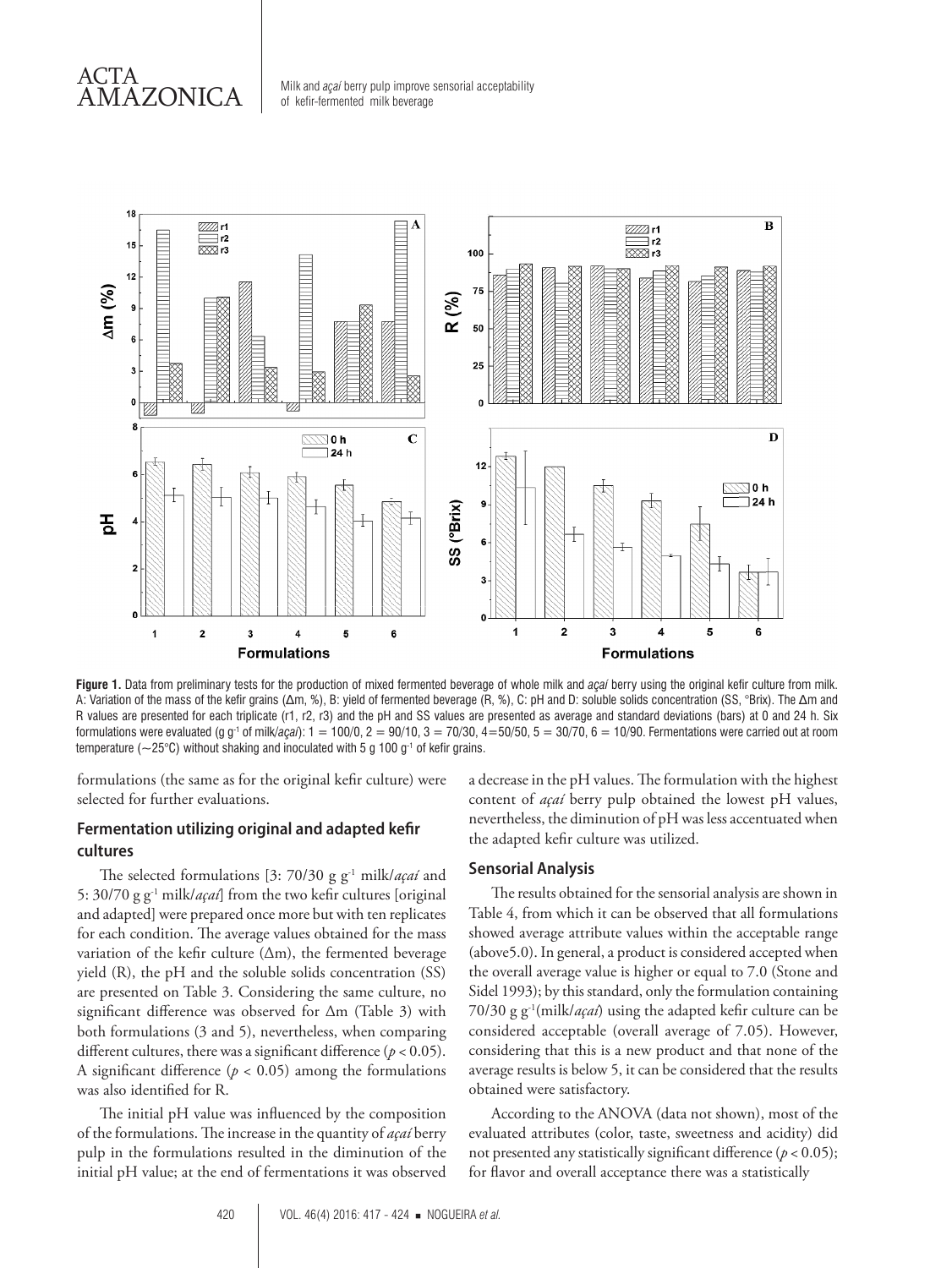## ACTA AMAZONICA

Milk and *açaí* berry pulp improve sensorial acceptability of kefir-fermented milk beverage



**Figure 1.** Data from preliminary tests for the production of mixed fermented beverage of whole milk and *açaí* berry using the original kefir culture from milk. A: Variation of the mass of the kefir grains (Δm, %), B: yield of fermented beverage (R, %), C: pH and D: soluble solids concentration (SS, °Brix). The Δm and R values are presented for each triplicate (r1, r2, r3) and the pH and SS values are presented as average and standard deviations (bars) at 0 and 24 h. Six formulations were evaluated (g g-1 of milk/*açaí*): 1 = 100/0, 2 = 90/10, 3 = 70/30, 4=50/50, 5 = 30/70, 6 = 10/90. Fermentations were carried out at room temperature ( $\sim$ 25°C) without shaking and inoculated with 5 g 100 g<sup>-1</sup> of kefir grains.

formulations (the same as for the original kefir culture) were selected for further evaluations.

### **Fermentation utilizing original and adapted kefir cultures**

The selected formulations [3: 70/30 g g-1 milk/*açaí* and 5: 30/70 g g-1 milk/*açaí*] from the two kefir cultures [original and adapted] were prepared once more but with ten replicates for each condition. The average values obtained for the mass variation of the kefir culture  $(\Delta m)$ , the fermented beverage yield (R), the pH and the soluble solids concentration (SS) are presented on Table 3. Considering the same culture, no significant difference was observed for Δm (Table 3) with both formulations (3 and 5), nevertheless, when comparing different cultures, there was a significant difference (*p* < 0.05). A significant difference  $(p < 0.05)$  among the formulations was also identified for R.

The initial pH value was influenced by the composition of the formulations. The increase in the quantity of *açaí* berry pulp in the formulations resulted in the diminution of the initial pH value; at the end of fermentations it was observed

a decrease in the pH values. The formulation with the highest content of *açaí* berry pulp obtained the lowest pH values, nevertheless, the diminution of pH was less accentuated when the adapted kefir culture was utilized.

#### **Sensorial Analysis**

The results obtained for the sensorial analysis are shown in Table 4, from which it can be observed that all formulations showed average attribute values within the acceptable range (above5.0). In general, a product is considered accepted when the overall average value is higher or equal to 7.0 (Stone and Sidel 1993); by this standard, only the formulation containing 70/30 g g-1(milk/*açaí*) using the adapted kefir culture can be considered acceptable (overall average of 7.05). However, considering that this is a new product and that none of the average results is below 5, it can be considered that the results obtained were satisfactory.

According to the ANOVA (data not shown), most of the evaluated attributes (color, taste, sweetness and acidity) did not presented any statistically significant difference ( $p < 0.05$ ); for flavor and overall acceptance there was a statistically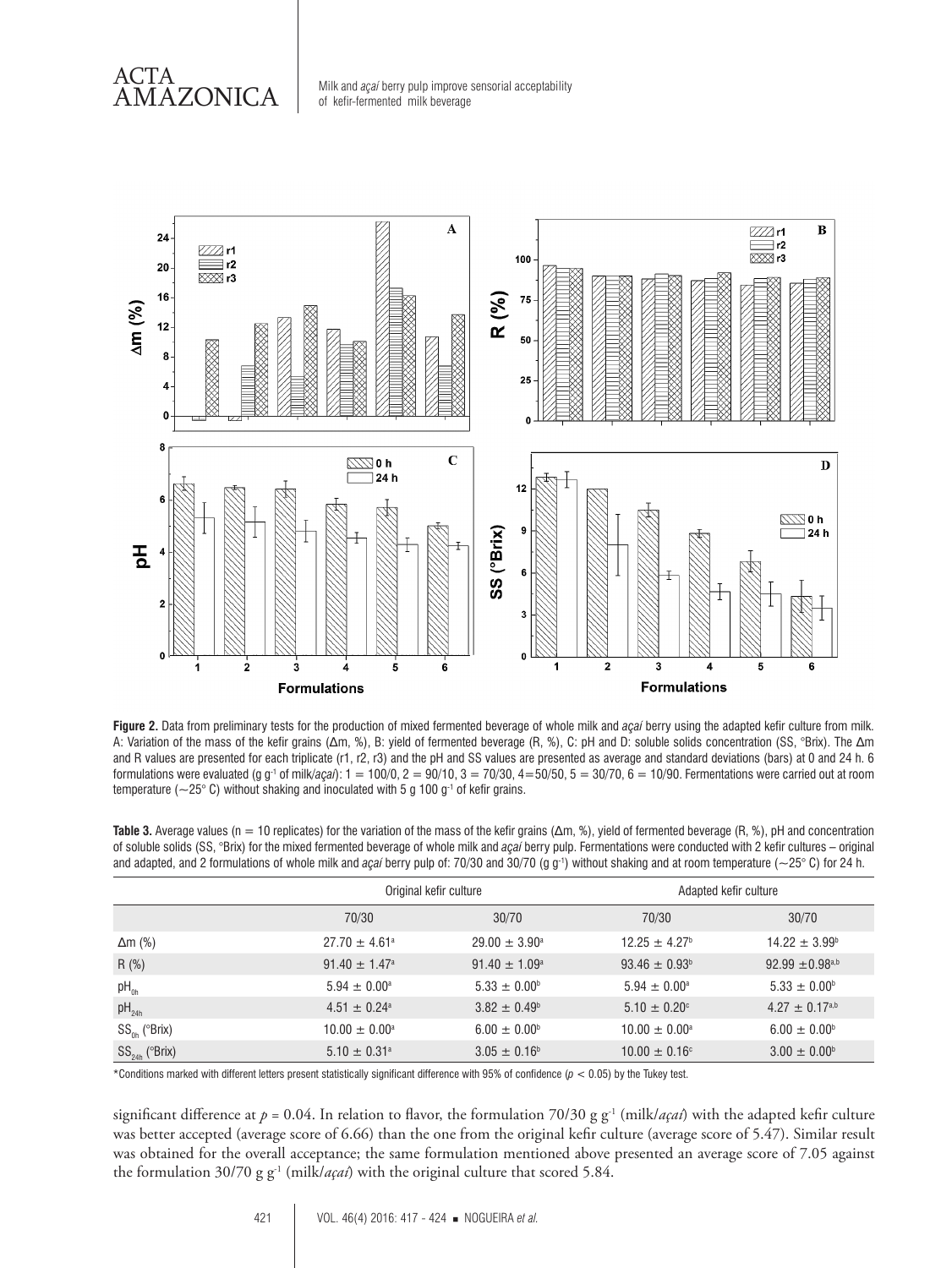ACTA

 $\overline{\text{AMAZONICA}}$  Milk and *açaí* berry pulp improve sensorial acceptability of kefir-fermented milk beverage



**Figure 2.** Data from preliminary tests for the production of mixed fermented beverage of whole milk and *açaí* berry using the adapted kefir culture from milk. A: Variation of the mass of the kefir grains (Δm, %), B: yield of fermented beverage (R, %), C: pH and D: soluble solids concentration (SS, °Brix). The Δm and R values are presented for each triplicate (r1, r2, r3) and the pH and SS values are presented as average and standard deviations (bars) at 0 and 24 h. 6 formulations were evaluated (g g-1 of milk/*açaí*): 1 = 100/0, 2 = 90/10, 3 = 70/30, 4=50/50, 5 = 30/70, 6 = 10/90. Fermentations were carried out at room temperature ( $\sim$ 25° C) without shaking and inoculated with 5 g 100 g<sup>-1</sup> of kefir grains.

**Table 3.** Average values (n = 10 replicates) for the variation of the mass of the kefir grains (Δm, %), yield of fermented beverage (R, %), pH and concentration of soluble solids (SS, °Brix) for the mixed fermented beverage of whole milk and *açaí* berry pulp. Fermentations were conducted with 2 kefir cultures – original and adapted, and 2 formulations of whole milk and *açaí* berry pulp of: 70/30 and 30/70 (g g<sup>-1</sup>) without shaking and at room temperature (~25° C) for 24 h.

|                       |                               | Original kefir culture   |                               | Adapted kefir culture           |  |
|-----------------------|-------------------------------|--------------------------|-------------------------------|---------------------------------|--|
|                       | 70/30                         | 30/70                    | 70/30                         | 30/70                           |  |
| $\Delta m$ (%)        | $27.70 \pm 4.61$ <sup>a</sup> | $29.00 \pm 3.90^{\circ}$ | $12.25 \pm 4.27$ <sup>b</sup> | $14.22 \pm 3.99^{\circ}$        |  |
| R(%)                  | $91.40 \pm 1.47$ <sup>a</sup> | $91.40 \pm 1.09^{\circ}$ | $93.46 \pm 0.93^{\circ}$      | $92.99 \pm 0.98$ <sub>a,b</sub> |  |
| $pH_{0h}$             | $5.94 \pm 0.00^{\circ}$       | $5.33 \pm 0.00^{\circ}$  | $5.94 \pm 0.00^{\circ}$       | $5.33 \pm 0.00^{\circ}$         |  |
| $pH_{24h}$            | $4.51 \pm 0.24$ <sup>a</sup>  | $3.82 \pm 0.49^{\circ}$  | $5.10 \pm 0.20$ °             | $4.27 \pm 0.17^{a,b}$           |  |
| $SS_{0h}$ ( $Brix$ )  | $10.00 \pm 0.00^{\circ}$      | $6.00 \pm 0.00^{\circ}$  | $10.00 \pm 0.00^{\circ}$      | $6.00 \pm 0.00^{\circ}$         |  |
| $SS_{24h}$ ( $BRix$ ) | $5.10 \pm 0.31^{\circ}$       | $3.05 \pm 0.16^{\circ}$  | $10.00 \pm 0.16$ °            | $3.00 \pm 0.00^{\circ}$         |  |

\*Conditions marked with different letters present statistically significant difference with 95% of confidence (*p* < 0.05) by the Tukey test.

significant difference at  $p = 0.04$ . In relation to flavor, the formulation 70/30 g g<sup>-1</sup> (milk/*açaí*) with the adapted kefir culture was better accepted (average score of 6.66) than the one from the original kefir culture (average score of 5.47). Similar result was obtained for the overall acceptance; the same formulation mentioned above presented an average score of 7.05 against the formulation  $30/70$  g g<sup>-1</sup> (milk/*açaí*) with the original culture that scored 5.84.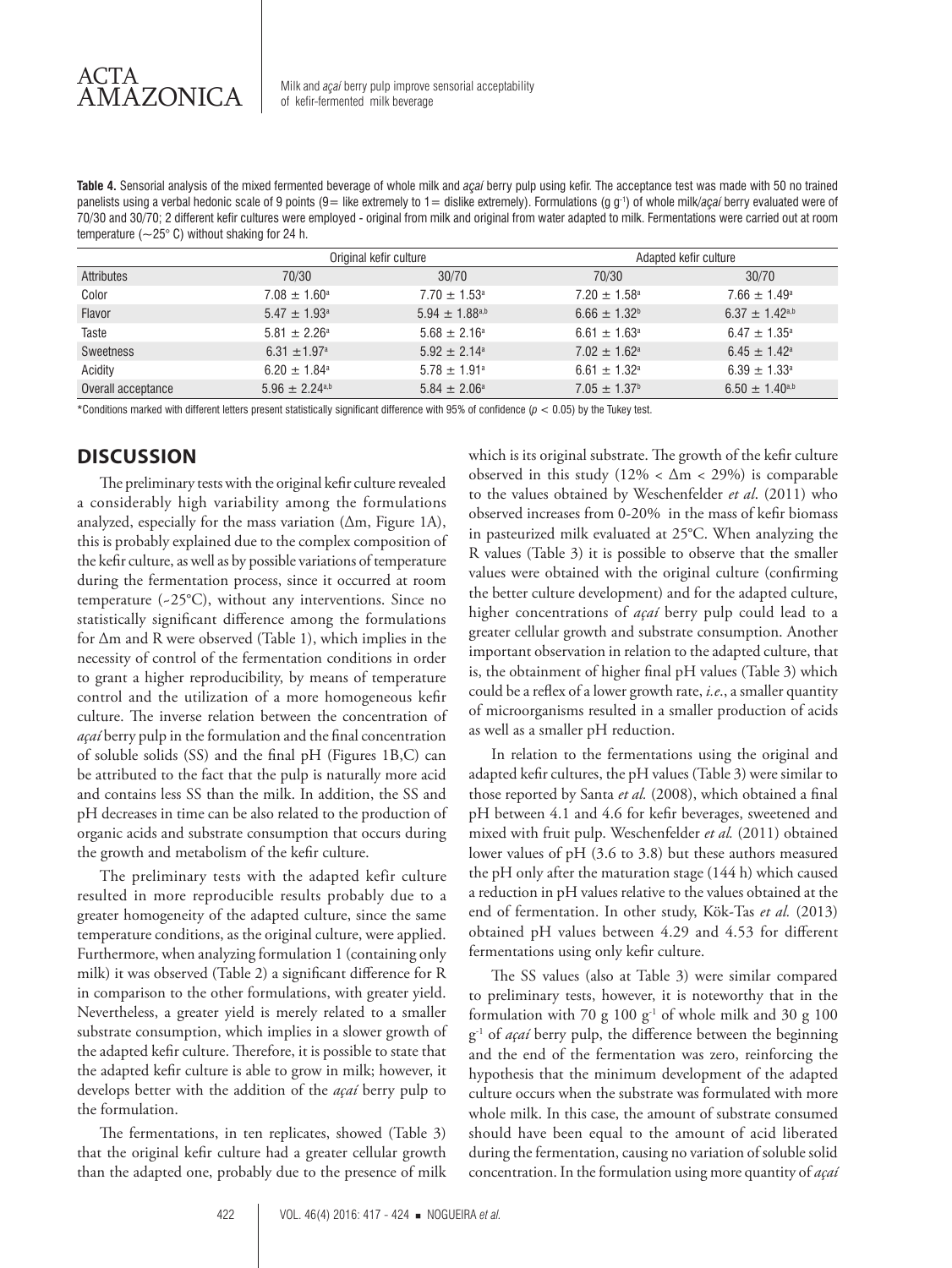**Table 4.** Sensorial analysis of the mixed fermented beverage of whole milk and *açaí* berry pulp using kefir. The acceptance test was made with 50 no trained panelists using a verbal hedonic scale of 9 points (9 = like extremely to 1 = dislike extremely). Formulations (g g<sup>-1</sup>) of whole milk/*açaí* berry evaluated were of 70/30 and 30/70; 2 different kefir cultures were employed - original from milk and original from water adapted to milk. Fermentations were carried out at room temperature ( $\sim$ 25° C) without shaking for 24 h.

|                    |                              | Original kefir culture       |                              | Adapted kefir culture        |  |
|--------------------|------------------------------|------------------------------|------------------------------|------------------------------|--|
| Attributes         | 70/30                        | 30/70                        | 70/30                        | 30/70                        |  |
| Color              | $7.08 \pm 1.60^{\circ}$      | $7.70 \pm 1.53$ <sup>a</sup> | $7.20 \pm 1.58$ <sup>a</sup> | $7.66 \pm 1.49^{\circ}$      |  |
| Flavor             | $5.47 \pm 1.93$ <sup>a</sup> | $5.94 \pm 1.88^{a,b}$        | $6.66 \pm 1.32^b$            | $6.37 \pm 1.42^{\text{a,b}}$ |  |
| Taste              | $5.81 \pm 2.26^{\circ}$      | $5.68 \pm 2.16^{\circ}$      | $6.61 \pm 1.63$ <sup>a</sup> | $6.47 \pm 1.35^{\circ}$      |  |
| Sweetness          | 6.31 $\pm$ 1.97 <sup>a</sup> | $5.92 + 2.14$ <sup>a</sup>   | $7.02 \pm 1.62$ <sup>a</sup> | $6.45 \pm 1.42^{\circ}$      |  |
| Acidity            | $6.20 \pm 1.84^{\circ}$      | $5.78 \pm 1.91^{\circ}$      | $6.61 \pm 1.32$ <sup>a</sup> | $6.39 \pm 1.33^{\circ}$      |  |
| Overall acceptance | $5.96 + 2.24$ <sup>a,b</sup> | $5.84 \pm 2.06^{\circ}$      | $7.05 \pm 1.37$ <sup>b</sup> | $6.50 \pm 1.40^{a,b}$        |  |

\*Conditions marked with different letters present statistically significant difference with 95% of confidence (*p* < 0.05) by the Tukey test.

## **DISCUSSION**

The preliminary tests with the original kefir culture revealed a considerably high variability among the formulations analyzed, especially for the mass variation (Δm, Figure 1A), this is probably explained due to the complex composition of the kefir culture, as well as by possible variations of temperature during the fermentation process, since it occurred at room temperature (~25°C), without any interventions. Since no statistically significant difference among the formulations for Δm and R were observed (Table 1), which implies in the necessity of control of the fermentation conditions in order to grant a higher reproducibility, by means of temperature control and the utilization of a more homogeneous kefir culture. The inverse relation between the concentration of *açaí* berry pulp in the formulation and the final concentration of soluble solids (SS) and the final pH (Figures 1B,C) can be attributed to the fact that the pulp is naturally more acid and contains less SS than the milk. In addition, the SS and pH decreases in time can be also related to the production of organic acids and substrate consumption that occurs during the growth and metabolism of the kefir culture.

The preliminary tests with the adapted kefir culture resulted in more reproducible results probably due to a greater homogeneity of the adapted culture, since the same temperature conditions, as the original culture, were applied. Furthermore, when analyzing formulation 1 (containing only milk) it was observed (Table 2) a significant difference for R in comparison to the other formulations, with greater yield. Nevertheless, a greater yield is merely related to a smaller substrate consumption, which implies in a slower growth of the adapted kefir culture. Therefore, it is possible to state that the adapted kefir culture is able to grow in milk; however, it develops better with the addition of the *açaí* berry pulp to the formulation.

The fermentations, in ten replicates, showed (Table 3) that the original kefir culture had a greater cellular growth than the adapted one, probably due to the presence of milk which is its original substrate. The growth of the kefir culture observed in this study  $(12\% \times \Delta m \times 29\%)$  is comparable to the values obtained by Weschenfelder *et al*. (2011) who observed increases from 0-20% in the mass of kefir biomass in pasteurized milk evaluated at 25°C. When analyzing the R values (Table 3) it is possible to observe that the smaller values were obtained with the original culture (confirming the better culture development) and for the adapted culture, higher concentrations of *açaí* berry pulp could lead to a greater cellular growth and substrate consumption. Another important observation in relation to the adapted culture, that is, the obtainment of higher final pH values (Table 3) which could be a reflex of a lower growth rate, *i.e*., a smaller quantity of microorganisms resulted in a smaller production of acids as well as a smaller pH reduction.

In relation to the fermentations using the original and adapted kefir cultures, the pH values (Table 3) were similar to those reported by Santa *et al.* (2008), which obtained a final pH between 4.1 and 4.6 for kefir beverages, sweetened and mixed with fruit pulp. Weschenfelder *et al.* (2011) obtained lower values of pH (3.6 to 3.8) but these authors measured the pH only after the maturation stage (144 h) which caused a reduction in pH values relative to the values obtained at the end of fermentation. In other study, Kök-Tas *et al.* (2013) obtained pH values between 4.29 and 4.53 for different fermentations using only kefir culture.

The SS values (also at Table 3) were similar compared to preliminary tests, however, it is noteworthy that in the formulation with 70 g  $100 \text{ g}^{-1}$  of whole milk and 30 g  $100$ g-1 of *açaí* berry pulp, the difference between the beginning and the end of the fermentation was zero, reinforcing the hypothesis that the minimum development of the adapted culture occurs when the substrate was formulated with more whole milk. In this case, the amount of substrate consumed should have been equal to the amount of acid liberated during the fermentation, causing no variation of soluble solid concentration. In the formulation using more quantity of *açaí*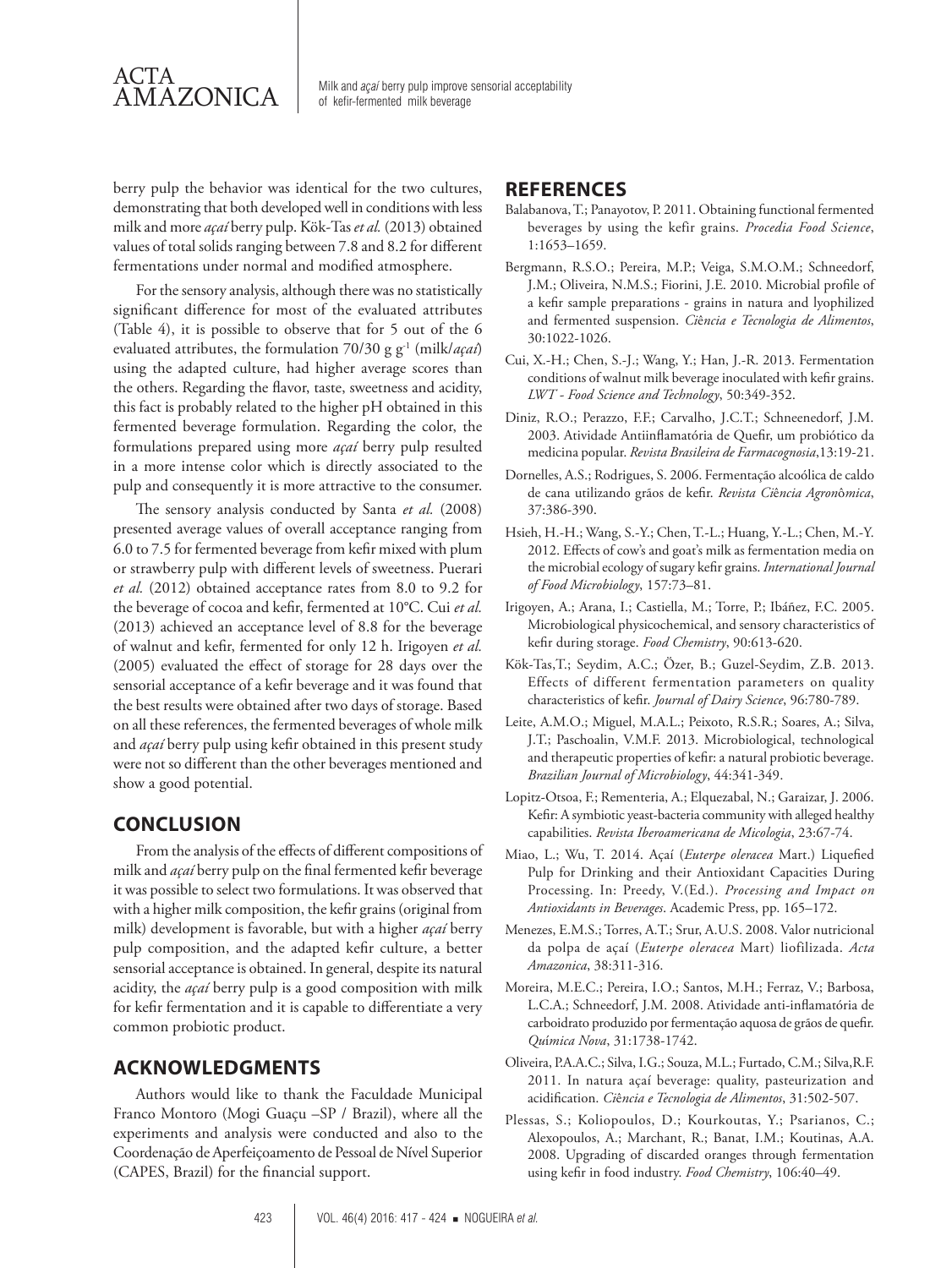

 $\overline{\text{AMAZONICA}}$  Milk and *açaí* berry pulp improve sensorial acceptability of kefir-fermented milk beverage

berry pulp the behavior was identical for the two cultures, demonstrating that both developed well in conditions with less milk and more *açaí* berry pulp. Kök-Tas *et al.* (2013) obtained values of total solids ranging between 7.8 and 8.2 for different fermentations under normal and modified atmosphere.

For the sensory analysis, although there was no statistically significant difference for most of the evaluated attributes (Table 4), it is possible to observe that for 5 out of the 6 evaluated attributes, the formulation 70/30 g g-1 (milk/*açaí*) using the adapted culture, had higher average scores than the others. Regarding the flavor, taste, sweetness and acidity, this fact is probably related to the higher pH obtained in this fermented beverage formulation. Regarding the color, the formulations prepared using more *açaí* berry pulp resulted in a more intense color which is directly associated to the pulp and consequently it is more attractive to the consumer.

The sensory analysis conducted by Santa *et al.* (2008) presented average values of overall acceptance ranging from 6.0 to 7.5 for fermented beverage from kefir mixed with plum or strawberry pulp with different levels of sweetness. Puerari *et al.* (2012) obtained acceptance rates from 8.0 to 9.2 for the beverage of cocoa and kefir, fermented at 10°C. Cui *et al.* (2013) achieved an acceptance level of 8.8 for the beverage of walnut and kefir, fermented for only 12 h. Irigoyen *et al.* (2005) evaluated the effect of storage for 28 days over the sensorial acceptance of a kefir beverage and it was found that the best results were obtained after two days of storage. Based on all these references, the fermented beverages of whole milk and *açaí* berry pulp using kefir obtained in this present study were not so different than the other beverages mentioned and show a good potential.

## **CONCLUSION**

From the analysis of the effects of different compositions of milk and *açaí* berry pulp on the final fermented kefir beverage it was possible to select two formulations. It was observed that with a higher milk composition, the kefir grains (original from milk) development is favorable, but with a higher *açaí* berry pulp composition, and the adapted kefir culture, a better sensorial acceptance is obtained. In general, despite its natural acidity, the *açaí* berry pulp is a good composition with milk for kefir fermentation and it is capable to differentiate a very common probiotic product.

## **ACKNOWLEDGMENTS**

Authors would like to thank the Faculdade Municipal Franco Montoro (Mogi Guaçu –SP / Brazil), where all the experiments and analysis were conducted and also to the Coordenação de Aperfeiçoamento de Pessoal de Nível Superior (CAPES, Brazil) for the financial support.

## **REFERENCES**

- Balabanova, T.; Panayotov, P. 2011. Obtaining functional fermented beverages by using the kefir grains. *Procedia Food Science*, 1:1653–1659.
- Bergmann, R.S.O.; Pereira, M.P.; Veiga, S.M.O.M.; Schneedorf, J.M.; Oliveira, N.M.S.; Fiorini, J.E. 2010. Microbial profile of a kefir sample preparations - grains in natura and lyophilized and fermented suspension. *Ci*ê*ncia e Tecnologia de Alimentos*, 30:1022-1026.
- Cui, X.-H.; Chen, S.-J.; Wang, Y.; Han, J.-R. 2013. Fermentation conditions of walnut milk beverage inoculated with kefir grains. *LWT - Food Science and Technology*, 50:349-352.
- Diniz, R.O.; Perazzo, F.F.; Carvalho, J.C.T.; Schneenedorf, J.M. 2003. Atividade Antiinflamatória de Quefir, um probiótico da medicina popular. *Revista Brasileira de Farmacognosia*,13:19-21.
- Dornelles, A.S.; Rodrigues, S. 2006. Fermentação alcoólica de caldo de cana utilizando grãos de kefir. *Revista Ci*ê*ncia Agron*ô*mica*, 37:386-390.
- Hsieh, H.-H.; Wang, S.-Y.; Chen, T.-L.; Huang, Y.-L.; Chen, M.-Y. 2012. Effects of cow's and goat's milk as fermentation media on the microbial ecology of sugary kefir grains. *International Journal of Food Microbiology*, 157:73–81.
- Irigoyen, A.; Arana, I.; Castiella, M.; Torre, P.; Ibáñez, F.C. 2005. Microbiological physicochemical, and sensory characteristics of kefir during storage. *Food Chemistry*, 90:613-620.
- Kök-Tas,T.; Seydim, A.C.; Özer, B.; Guzel-Seydim, Z.B. 2013. Effects of different fermentation parameters on quality characteristics of kefir. *Journal of Dairy Science*, 96:780-789.
- Leite, A.M.O.; Miguel, M.A.L.; Peixoto, R.S.R.; Soares, A.; Silva, J.T.; Paschoalin, V.M.F. 2013. Microbiological, technological and therapeutic properties of kefir: a natural probiotic beverage. *Brazilian Journal of Microbiology*, 44:341-349.
- Lopitz-Otsoa, F.; Rementeria, A.; Elquezabal, N.; Garaizar, J. 2006. Kefir: A symbiotic yeast-bacteria community with alleged healthy capabilities. *Revista Iberoamericana de Micologia*, 23:67-74.
- Miao, L.; Wu, T. 2014. Açaí (*Euterpe oleracea* Mart.) Liquefied Pulp for Drinking and their Antioxidant Capacities During Processing. In: Preedy, V.(Ed.). *Processing and Impact on Antioxidants in Beverages*. Academic Press, pp. 165–172.
- Menezes, E.M.S.; Torres, A.T.; Srur, A.U.S. 2008. Valor nutricional da polpa de açaí (*Euterpe oleracea* Mart) liofilizada. *Acta Amazonica*, 38:311-316.
- Moreira, M.E.C.; Pereira, I.O.; Santos, M.H.; Ferraz, V.; Barbosa, L.C.A.; Schneedorf, J.M. 2008. Atividade anti-inflamatória de carboidrato produzido por fermentação aquosa de grãos de quefir. *Qu*í*mica Nova*, 31:1738-1742.
- Oliveira, P.A.A.C.; Silva, I.G.; Souza, M.L.; Furtado, C.M.; Silva,R.F. 2011. In natura açaí beverage: quality, pasteurization and acidification. *Ci*ê*ncia e Tecnologia de Alimentos*, 31:502-507.
- Plessas, S.; Koliopoulos, D.; Kourkoutas, Y.; Psarianos, C.; Alexopoulos, A.; Marchant, R.; Banat, I.M.; Koutinas, A.A. 2008. Upgrading of discarded oranges through fermentation using kefir in food industry. *Food Chemistry*, 106:40–49.